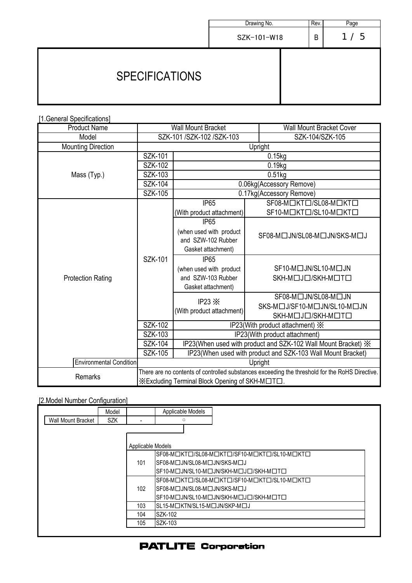|                       | Drawing No. | Rev. | Page   |
|-----------------------|-------------|------|--------|
|                       | SZK-101-W18 | B    | 5<br>1 |
| <b>SPECIFICATIONS</b> |             |      |        |

[1.General Specifications]

| <b>Product Name</b>            | <b>Wall Mount Bracket</b>                                                                      |                                                                           | <b>Wall Mount Bracket Cover</b> |  |
|--------------------------------|------------------------------------------------------------------------------------------------|---------------------------------------------------------------------------|---------------------------------|--|
| Model                          | SZK-101 / SZK-102 / SZK-103                                                                    |                                                                           | SZK-104/SZK-105                 |  |
| <b>Mounting Direction</b>      | Upright                                                                                        |                                                                           |                                 |  |
|                                | SZK-101                                                                                        | $0.15$ kg                                                                 |                                 |  |
|                                | SZK-102                                                                                        | 0.19kg                                                                    |                                 |  |
| Mass (Typ.)                    | SZK-103                                                                                        | $0.51$ <sub>kg</sub>                                                      |                                 |  |
|                                | <b>SZK-104</b>                                                                                 | 0.06kg(Accessory Remove)                                                  |                                 |  |
|                                | <b>SZK-105</b>                                                                                 | 0.17kg(Accessory Remove)                                                  |                                 |  |
|                                |                                                                                                | <b>IP65</b>                                                               | SF08-MOKTO/SL08-MOKTO           |  |
|                                |                                                                                                | (With product attachment)                                                 | SF10-MOKTO/SL10-MOKTO           |  |
|                                |                                                                                                | <b>IP65</b>                                                               |                                 |  |
|                                |                                                                                                | (when used with product                                                   | SF08-M□JN/SL08-M□JN/SKS-M□J     |  |
|                                | <b>SZK-101</b>                                                                                 | and SZW-102 Rubber                                                        |                                 |  |
|                                |                                                                                                | Gasket attachment)                                                        |                                 |  |
|                                |                                                                                                | <b>IP65</b>                                                               |                                 |  |
|                                |                                                                                                | (when used with product                                                   | SF10-M□JN/SL10-M□JN             |  |
| <b>Protection Rating</b>       |                                                                                                | and SZW-103 Rubber                                                        | SKH-MOJO/SKH-MOTO               |  |
|                                |                                                                                                | Gasket attachment)                                                        |                                 |  |
|                                |                                                                                                | IP23 $\mathbb{X}$<br>(With product attachment)                            | SF08-M□JN/SL08-M□JN             |  |
|                                |                                                                                                |                                                                           | SKS-M□J/SF10-M□JN/SL10-M□JN     |  |
|                                |                                                                                                |                                                                           | SKH-MOJO/SKH-MOTO               |  |
|                                | <b>SZK-102</b>                                                                                 | IP23(With product attachment) X                                           |                                 |  |
|                                | SZK-103                                                                                        | IP23(With product attachment)                                             |                                 |  |
|                                | <b>SZK-104</b>                                                                                 | IP23(When used with product and SZK-102 Wall Mount Bracket) $\frac{1}{2}$ |                                 |  |
|                                | SZK-105                                                                                        | IP23(When used with product and SZK-103 Wall Mount Bracket)               |                                 |  |
| <b>Environmental Condition</b> |                                                                                                | Upright                                                                   |                                 |  |
| Remarks                        | There are no contents of controlled substances exceeding the threshold for the RoHS Directive. |                                                                           |                                 |  |
|                                | XExcluding Terminal Block Opening of SKH-M□T□.                                                 |                                                                           |                                 |  |

[2.Model Number Configuration]

|                           | Model      |                   | Applicable Models             |                                              |
|---------------------------|------------|-------------------|-------------------------------|----------------------------------------------|
| <b>Wall Mount Bracket</b> | <b>SZK</b> |                   | ⇩                             |                                              |
|                           |            |                   |                               |                                              |
|                           |            | Applicable Models |                               |                                              |
|                           |            |                   |                               | ISF08-M□KT□/SL08-M□KT□/SF10-M□KT□/SL10-M□KT□ |
|                           |            | 101               | ISF08-M□JN/SL08-M□JN/SKS-M□J  |                                              |
|                           |            |                   |                               | ISF10-M□JN/SL10-M□JN/SKH-M□J□/SKH-M□T□       |
|                           |            |                   |                               | SF08-MOKTO/SL08-MOKTO/SF10-MOKTO/SL10-MOKTO  |
|                           |            | 102               | ISF08-M□JN/SL08-M□JN/SKS-M□J  |                                              |
|                           |            |                   |                               | SF10-M□JN/SL10-M□JN/SKH-M□J□/SKH-M□T□        |
|                           |            | 103               | ISL15-M□KTN/SL15-M□JN/SKP-M□J |                                              |
|                           |            | 104               | SZK-102                       |                                              |
|                           |            | 105               | SZK-103                       |                                              |

## **PATLITE Corporation**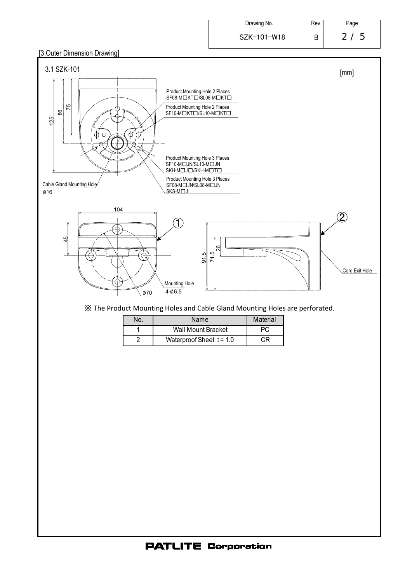| Drawing No.   | Rev. | Page    |
|---------------|------|---------|
| $SZK-101-W18$ |      | 5<br>2/ |

## [3.Outer Dimension Drawing]

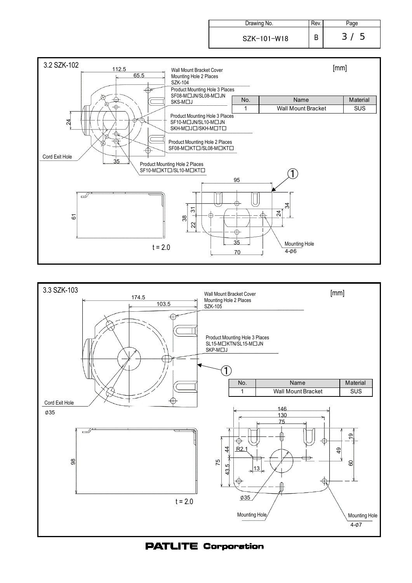| Drawing No. | ⊀ev. | age                 |
|-------------|------|---------------------|
| SZK-101-W18 |      | -3-<br>$\mathbf{b}$ |





## **PATLITE Corporation**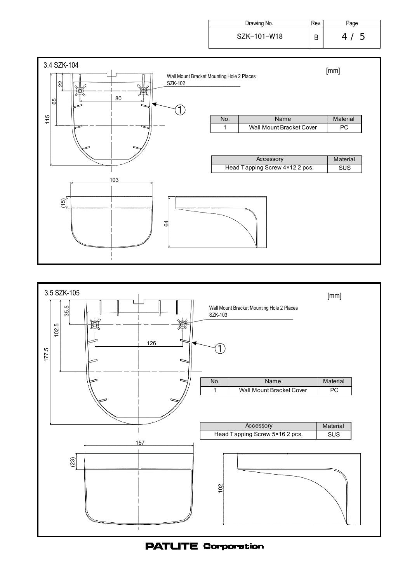| Drawing No. | Rev. | 'aqe                            |
|-------------|------|---------------------------------|
| SZK-101-W18 |      | 4 <sub>1</sub><br>$\mathcal{D}$ |

![](_page_3_Figure_1.jpeg)

![](_page_3_Figure_2.jpeg)